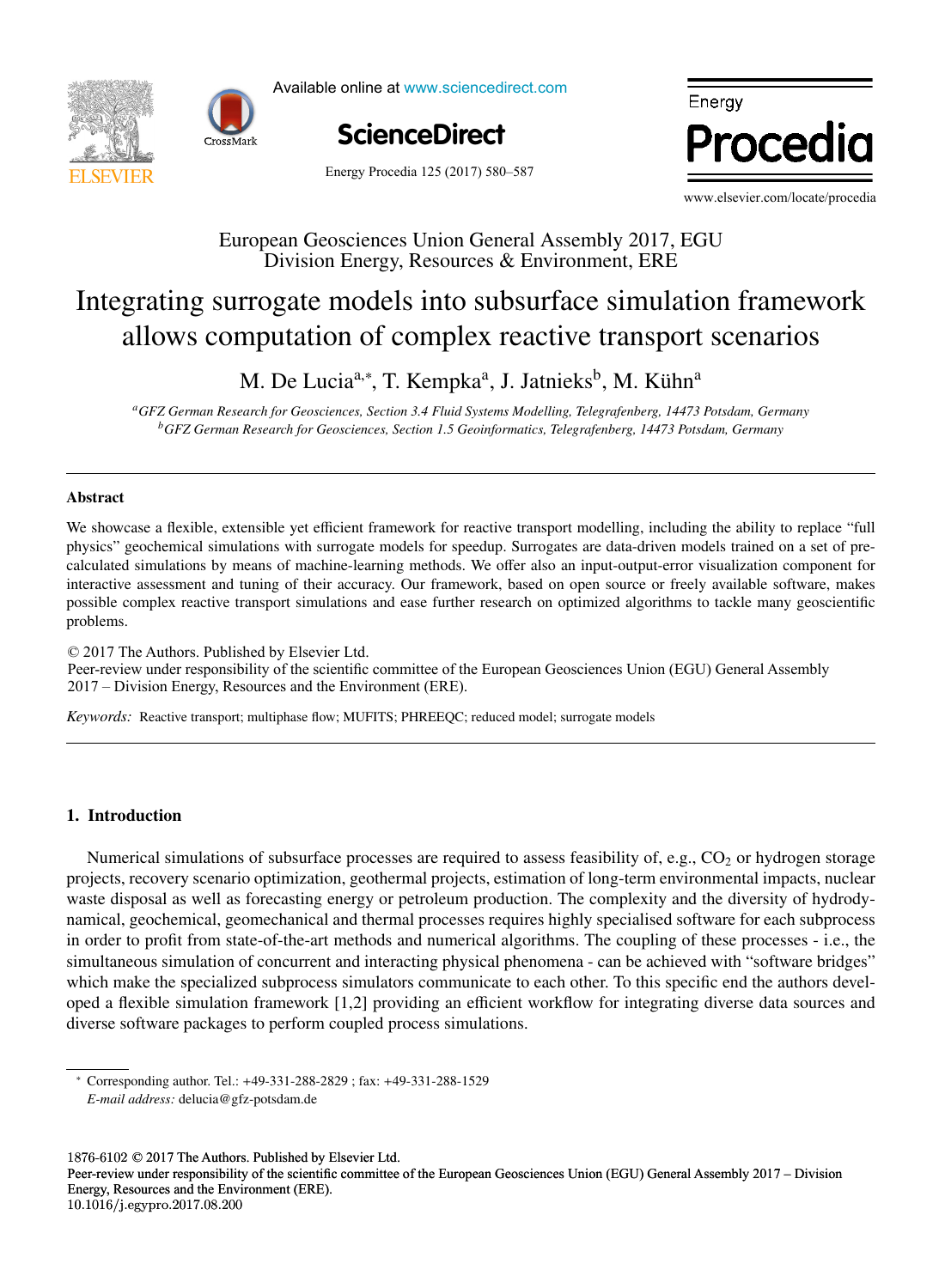



Available online at www.sciencedirect.com



Energy Procedia www.elsevier.com/locate/proceding/ www.elsevier.com/locate/procediate/procediate/procediate/procediate/procediate/procediate/procediate/procediate/

Energy Procedia 125 (2017) 580-587

www.elsevier.com/locate/procedia

## European Geosciences Union General Assembly 2017, EGU European Geosciences Union General Assembly 2017, EGU Division Energy, Resources & Environment, ERE

## surrogale moders mo subsurrace simulation in Integrating surrogate models into subsurface simulation framework Integrating surrogate models into subsurface simulation framework allows computation of complex reactive transport scenarios allows computation of complex reactive transport scenarios

M. De Lucia<sup>a,∗</sup>, T. Kempka<sup>a</sup>, J. Jatnieks<sup>b</sup>, M. Kühn<sup>a</sup>

temperature function for a long-term district heat demand forecast *aGFZ German Research for Geosciences, Section 3.4 Fluid Systems Modelling, Telegrafenberg, 14473 Potsdam, Germany*  $\overline{\phantom{a}}$ , P. Ferrão<sup>a</sup>  $\overline{I}$   $\overline{I}$   $\overline{I}$   $\overline{I}$   $\overline{I}$   $\overline{I}$   $\overline{I}$   $\overline{I}$   $\overline{I}$   $\overline{I}$   $\overline{I}$   $\overline{I}$   $\overline{I}$   $\overline{I}$   $\overline{I}$   $\overline{I}$   $\overline{I}$   $\overline{I}$   $\overline{I}$   $\overline{I}$   $\overline{I}$   $\overline{I}$   $\overline{I}$   $\overline{I}$   $\overline{$  $\mathcal{L}_{\mathcal{S}}$ .  $\mathcal{L}_{\mathcal{S}}$ .  $\mathcal{L}_{\mathcal{S}}$ .  $\mathcal{L}_{\mathcal{S}}$ .  $\mathcal{L}_{\mathcal{S}}$ .  $\mathcal{L}_{\mathcal{S}}$ .  $\mathcal{L}_{\mathcal{S}}$ .  $\mathcal{L}_{\mathcal{S}}$ .  $\mathcal{L}_{\mathcal{S}}$ .  $\mathcal{L}_{\mathcal{S}}$ .  $\mathcal{L}_{\mathcal{S}}$ .  $\mathcal{L}_{\mathcal{S}}$ .  $\mathcal{L}_{\mathcal{S}}$ .  $\mathcal{L}_{\mathcal{S}}$  $\ldots$ ,  $\ldots$ ,  $\ldots$ a GFZ German Research for Geosciences, Section 3.4 Fluid Systems Modelling, Telegrafenberg, 14473 Potsdam, Germany<br>*bGFZ German Research for Geosciences, Section 1.5 Geoinformatics, Telegrafenberg, 14473 Potsdam, Germany*

# Abstract Abstract

.<br>We showever a fluible, ontogether of client framework for resting twenty to addition including the chiling to welcom Well interactive assessment and tuning of their accuracy. Our framework, based on open source or freely available software, makes  $\Omega$  networks are commonly addressed in the most effective solutions for the most effective solutions for decreasing the most effective solutions for decreasing the most effective solutions for decreasing the most effecti We showcase a flexible, extensible yet efficient framework for reactive transport modelling, including the ability to replace "full physics" geochemical simulations with surrogate models for speedup. Surrogates are data-driven models trained on a set of precalculated simulations by means of machine-learning methods. We offer also an input-output-error visualization component for possible complex reactive transport simulations and ease further research on optimized algorithms to tackle many geoscientific problems.

buildings that vary in both construction period and typology. The scenarios (low, medium, high) and three district

© 2017 The Authors. Published by Elsevier Ltd. Peer-review under responsibility of the scientific committee of the European Geosciences Union (EGU) General Assembly 2017 – Division Energy, Resources and the Environment (ERE).  $\mathcal{L}$  . Energy,  $\mathcal{L}$  and the Equation  $\mathcal{L}$ 

The main scope of this paper is to assess the feasibility of using the heat demand – outdoor temperature function for heat demand Keywords: Reactive transport; multiphase flow; MUFITS; PHREEQC; reduced model; surrogate models

#### $\text{tr}_{\text{t}}$  in annual demand was lower than 20% for all weather scenarios considered ( $\text{tr}_{\text{t}}$ 1. Introduction

Numerical simulations of subsurface processes are required to assess feasibility of, e.g., CO<sub>2</sub> or hydrogen storage projects, recovery scenario optimization, geothermal projects, estimation of long-term environmental impacts, nuclear waste disposal as well as forecasting energy or petroleum production. The complexity and the diversity of hydrodynamical, geochemical, geomechanical and thermal processes requires highly specialised software for each subprocess in order to profit from state-of-the-art methods and numerical algorithms. The coupling of these processes - i.e., the manancous simulation of concurrent and in which make the specialized subprocess simulators communicate to each other. To this specific end the authors developed a flexible simulation framework [1,2] providing an efficient workflow for integrating diverse data sources and simultaneous simulation of concurrent and interacting physical phenomena - can be achieved with "software bridges" oped a finance simulation framework [1,2] providing an efficient workflow for integrating diverse data sources and<br>diverse software packages to perform coupled process simulations. diverse software packages to perform coupled process simulations.

1876-6102 © 2017 The Authors. Published by Elsevier Ltd.

*E-mail address:* delucia@gfz-potsdam.de

<sup>∗</sup> Corresponding author. Tel.: +49-331-288-2829 ; fax: +49-331-288-1529 *E-mail address:* delucia@gfz-potsdam.de

<sup>1876-6102 © 2017</sup> The Authors. Published by Elsevier Ltd.<br>Peer-review under responsibility of the scientific committee of the European Geosciences Union (EGU) General Assembly 2017 – Division Energy, Resources and the Environment (ERE). 10.1016/j.egypro.2017.08.200 Feel-teview under responsibility of the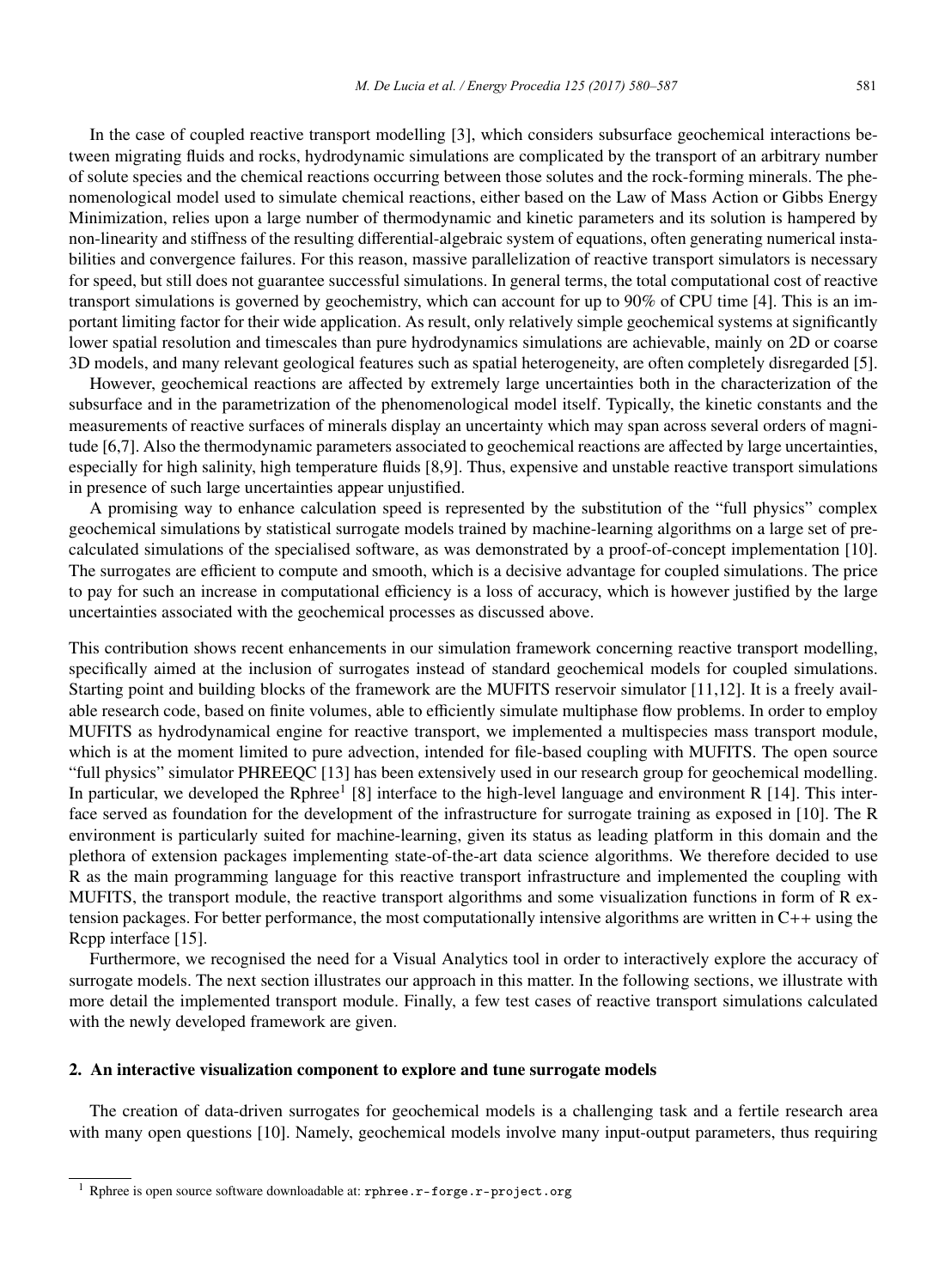In the case of coupled reactive transport modelling [3], which considers subsurface geochemical interactions between migrating fluids and rocks, hydrodynamic simulations are complicated by the transport of an arbitrary number of solute species and the chemical reactions occurring between those solutes and the rock-forming minerals. The phenomenological model used to simulate chemical reactions, either based on the Law of Mass Action or Gibbs Energy Minimization, relies upon a large number of thermodynamic and kinetic parameters and its solution is hampered by non-linearity and stiffness of the resulting differential-algebraic system of equations, often generating numerical instabilities and convergence failures. For this reason, massive parallelization of reactive transport simulators is necessary for speed, but still does not guarantee successful simulations. In general terms, the total computational cost of reactive transport simulations is governed by geochemistry, which can account for up to 90% of CPU time [4]. This is an important limiting factor for their wide application. As result, only relatively simple geochemical systems at significantly lower spatial resolution and timescales than pure hydrodynamics simulations are achievable, mainly on 2D or coarse 3D models, and many relevant geological features such as spatial heterogeneity, are often completely disregarded [5].

However, geochemical reactions are affected by extremely large uncertainties both in the characterization of the subsurface and in the parametrization of the phenomenological model itself. Typically, the kinetic constants and the measurements of reactive surfaces of minerals display an uncertainty which may span across several orders of magnitude [6,7]. Also the thermodynamic parameters associated to geochemical reactions are affected by large uncertainties, especially for high salinity, high temperature fluids [8,9]. Thus, expensive and unstable reactive transport simulations in presence of such large uncertainties appear unjustified.

A promising way to enhance calculation speed is represented by the substitution of the "full physics" complex geochemical simulations by statistical surrogate models trained by machine-learning algorithms on a large set of precalculated simulations of the specialised software, as was demonstrated by a proof-of-concept implementation [10]. The surrogates are efficient to compute and smooth, which is a decisive advantage for coupled simulations. The price to pay for such an increase in computational efficiency is a loss of accuracy, which is however justified by the large uncertainties associated with the geochemical processes as discussed above.

This contribution shows recent enhancements in our simulation framework concerning reactive transport modelling, specifically aimed at the inclusion of surrogates instead of standard geochemical models for coupled simulations. Starting point and building blocks of the framework are the MUFITS reservoir simulator [11,12]. It is a freely available research code, based on finite volumes, able to efficiently simulate multiphase flow problems. In order to employ MUFITS as hydrodynamical engine for reactive transport, we implemented a multispecies mass transport module, which is at the moment limited to pure advection, intended for file-based coupling with MUFITS. The open source "full physics" simulator PHREEQC [13] has been extensively used in our research group for geochemical modelling. In particular, we developed the Rphree<sup>1</sup> [8] interface to the high-level language and environment R [14]. This interface served as foundation for the development of the infrastructure for surrogate training as exposed in [10]. The R environment is particularly suited for machine-learning, given its status as leading platform in this domain and the plethora of extension packages implementing state-of-the-art data science algorithms. We therefore decided to use R as the main programming language for this reactive transport infrastructure and implemented the coupling with MUFITS, the transport module, the reactive transport algorithms and some visualization functions in form of R extension packages. For better performance, the most computationally intensive algorithms are written in C++ using the Rcpp interface [15].

Furthermore, we recognised the need for a Visual Analytics tool in order to interactively explore the accuracy of surrogate models. The next section illustrates our approach in this matter. In the following sections, we illustrate with more detail the implemented transport module. Finally, a few test cases of reactive transport simulations calculated with the newly developed framework are given.

## 2. An interactive visualization component to explore and tune surrogate models

The creation of data-driven surrogates for geochemical models is a challenging task and a fertile research area with many open questions [10]. Namely, geochemical models involve many input-output parameters, thus requiring

<sup>1</sup> Rphree is open source software downloadable at: rphree.r-forge.r-project.org